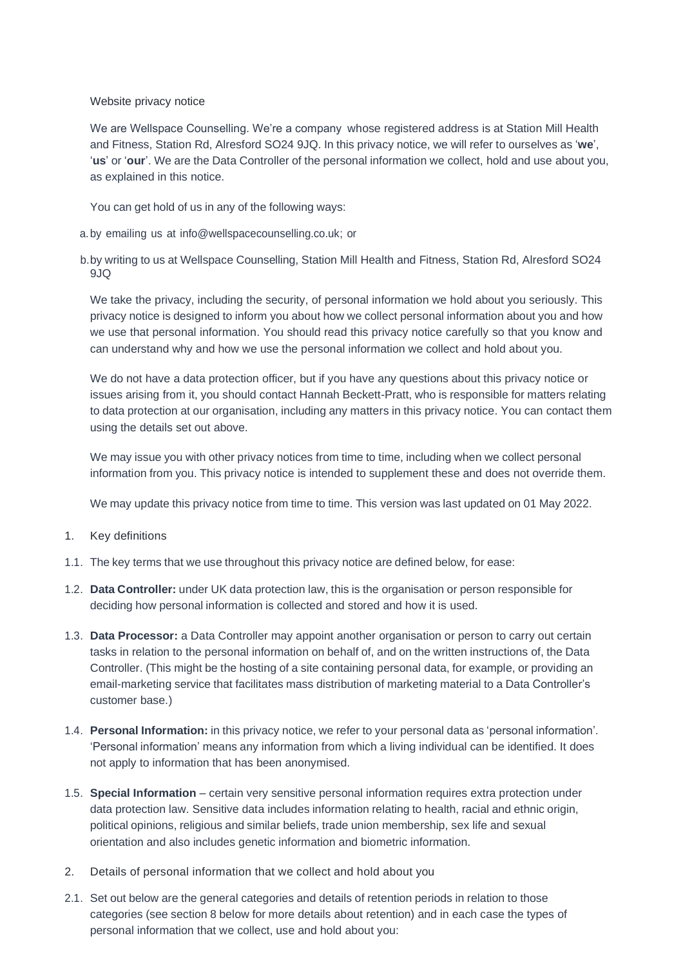Website privacy notice

We are Wellspace Counselling. We're a company whose registered address is at Station Mill Health and Fitness, Station Rd, Alresford SO24 9JQ. In this privacy notice, we will refer to ourselves as '**we**', '**us**' or '**our**'. We are the Data Controller of the personal information we collect, hold and use about you, as explained in this notice.

You can get hold of us in any of the following ways:

- a.by emailing us at info@wellspacecounselling.co.uk; or
- b.by writing to us at Wellspace Counselling, Station Mill Health and Fitness, Station Rd, Alresford SO24 9JQ

We take the privacy, including the security, of personal information we hold about you seriously. This privacy notice is designed to inform you about how we collect personal information about you and how we use that personal information. You should read this privacy notice carefully so that you know and can understand why and how we use the personal information we collect and hold about you.

We do not have a data protection officer, but if you have any questions about this privacy notice or issues arising from it, you should contact Hannah Beckett-Pratt, who is responsible for matters relating to data protection at our organisation, including any matters in this privacy notice. You can contact them using the details set out above.

We may issue you with other privacy notices from time to time, including when we collect personal information from you. This privacy notice is intended to supplement these and does not override them.

We may update this privacy notice from time to time. This version was last updated on 01 May 2022.

- 1. Key definitions
- 1.1. The key terms that we use throughout this privacy notice are defined below, for ease:
- 1.2. **Data Controller:** under UK data protection law, this is the organisation or person responsible for deciding how personal information is collected and stored and how it is used.
- 1.3. **Data Processor:** a Data Controller may appoint another organisation or person to carry out certain tasks in relation to the personal information on behalf of, and on the written instructions of, the Data Controller. (This might be the hosting of a site containing personal data, for example, or providing an email-marketing service that facilitates mass distribution of marketing material to a Data Controller's customer base.)
- 1.4. **Personal Information:** in this privacy notice, we refer to your personal data as 'personal information'. 'Personal information' means any information from which a living individual can be identified. It does not apply to information that has been anonymised.
- 1.5. **Special Information** certain very sensitive personal information requires extra protection under data protection law. Sensitive data includes information relating to health, racial and ethnic origin, political opinions, religious and similar beliefs, trade union membership, sex life and sexual orientation and also includes genetic information and biometric information.
- 2. Details of personal information that we collect and hold about you
- 2.1. Set out below are the general categories and details of retention periods in relation to those categories (see section 8 below for more details about retention) and in each case the types of personal information that we collect, use and hold about you: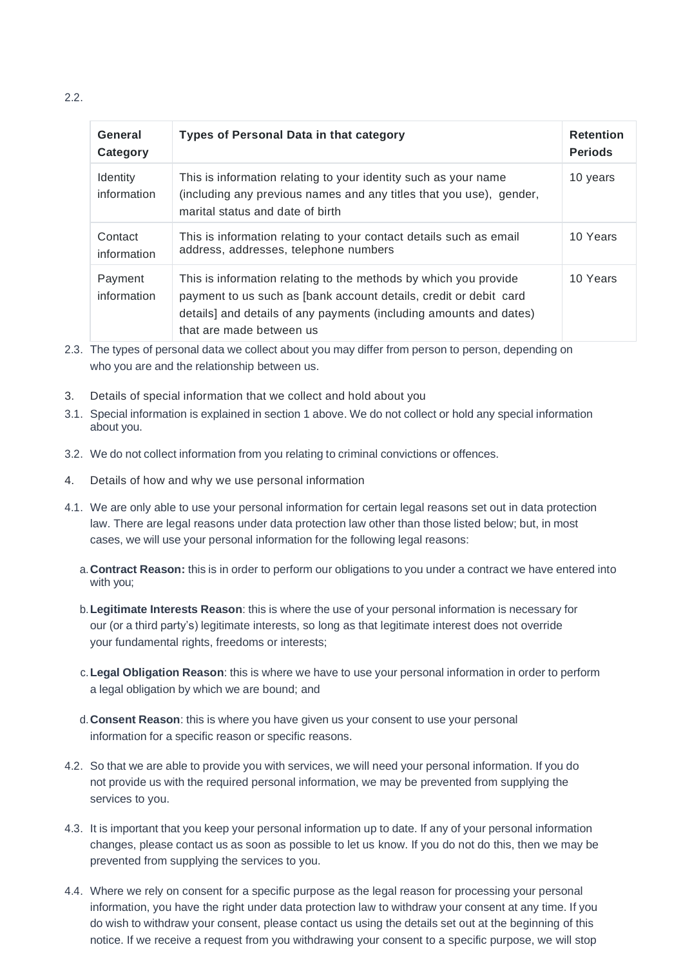$2.2<sub>2</sub>$ 

| General<br>Category            | <b>Types of Personal Data in that category</b>                                                                                                                                                                                          | <b>Retention</b><br><b>Periods</b> |
|--------------------------------|-----------------------------------------------------------------------------------------------------------------------------------------------------------------------------------------------------------------------------------------|------------------------------------|
| <b>Identity</b><br>information | This is information relating to your identity such as your name<br>(including any previous names and any titles that you use), gender,<br>marital status and date of birth                                                              | 10 years                           |
| Contact<br>information         | This is information relating to your contact details such as email<br>address, addresses, telephone numbers                                                                                                                             | 10 Years                           |
| Payment<br>information         | This is information relating to the methods by which you provide<br>payment to us such as [bank account details, credit or debit card<br>details] and details of any payments (including amounts and dates)<br>that are made between us | 10 Years                           |

- 2.3. The types of personal data we collect about you may differ from person to person, depending on who you are and the relationship between us.
- 3. Details of special information that we collect and hold about you
- 3.1. Special information is explained in section 1 above. We do not collect or hold any special information about you.
- 3.2. We do not collect information from you relating to criminal convictions or offences.
- 4. Details of how and why we use personal information
- 4.1. We are only able to use your personal information for certain legal reasons set out in data protection law. There are legal reasons under data protection law other than those listed below; but, in most cases, we will use your personal information for the following legal reasons:
	- a.**Contract Reason:** this is in order to perform our obligations to you under a contract we have entered into with you;
	- b.**Legitimate Interests Reason**: this is where the use of your personal information is necessary for our (or a third party's) legitimate interests, so long as that legitimate interest does not override your fundamental rights, freedoms or interests;
	- c.**Legal Obligation Reason**: this is where we have to use your personal information in order to perform a legal obligation by which we are bound; and
	- d.**Consent Reason**: this is where you have given us your consent to use your personal information for a specific reason or specific reasons.
- 4.2. So that we are able to provide you with services, we will need your personal information. If you do not provide us with the required personal information, we may be prevented from supplying the services to you.
- 4.3. It is important that you keep your personal information up to date. If any of your personal information changes, please contact us as soon as possible to let us know. If you do not do this, then we may be prevented from supplying the services to you.
- 4.4. Where we rely on consent for a specific purpose as the legal reason for processing your personal information, you have the right under data protection law to withdraw your consent at any time. If you do wish to withdraw your consent, please contact us using the details set out at the beginning of this notice. If we receive a request from you withdrawing your consent to a specific purpose, we will stop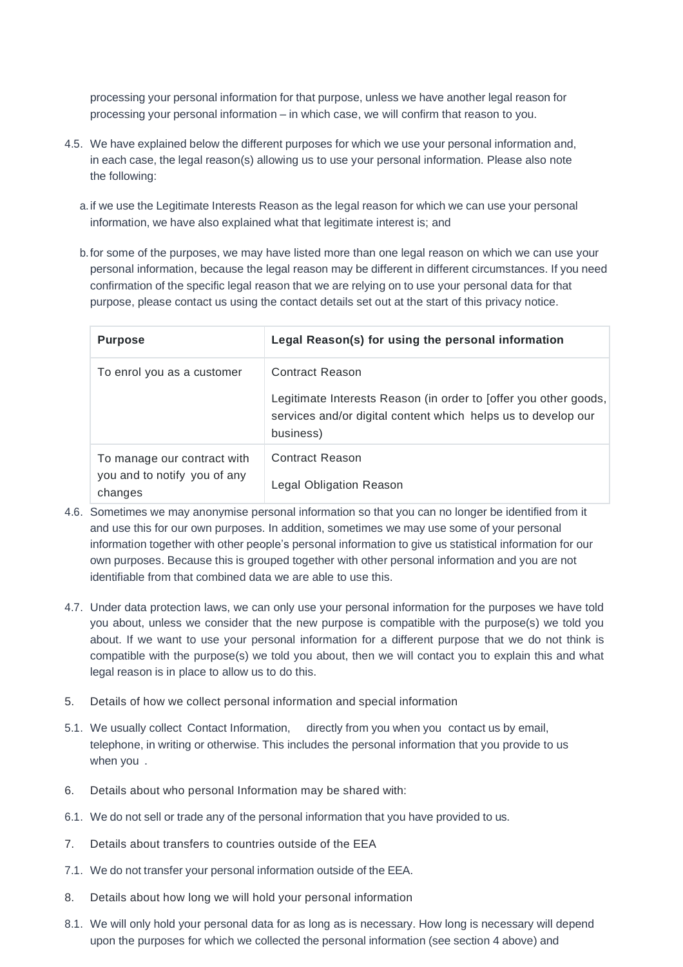processing your personal information for that purpose, unless we have another legal reason for processing your personal information – in which case, we will confirm that reason to you.

- 4.5. We have explained below the different purposes for which we use your personal information and, in each case, the legal reason(s) allowing us to use your personal information. Please also note the following:
	- a.if we use the Legitimate Interests Reason as the legal reason for which we can use your personal information, we have also explained what that legitimate interest is; and
	- b.for some of the purposes, we may have listed more than one legal reason on which we can use your personal information, because the legal reason may be different in different circumstances. If you need confirmation of the specific legal reason that we are relying on to use your personal data for that purpose, please contact us using the contact details set out at the start of this privacy notice.

| <b>Purpose</b>                                                         | Legal Reason(s) for using the personal information                                                                                                                |
|------------------------------------------------------------------------|-------------------------------------------------------------------------------------------------------------------------------------------------------------------|
| To enrol you as a customer                                             | Contract Reason<br>Legitimate Interests Reason (in order to foffer you other goods,<br>services and/or digital content which helps us to develop our<br>business) |
| To manage our contract with<br>you and to notify you of any<br>changes | <b>Contract Reason</b><br><b>Legal Obligation Reason</b>                                                                                                          |

- 4.6. Sometimes we may anonymise personal information so that you can no longer be identified from it and use this for our own purposes. In addition, sometimes we may use some of your personal information together with other people's personal information to give us statistical information for our own purposes. Because this is grouped together with other personal information and you are not identifiable from that combined data we are able to use this.
- 4.7. Under data protection laws, we can only use your personal information for the purposes we have told you about, unless we consider that the new purpose is compatible with the purpose(s) we told you about. If we want to use your personal information for a different purpose that we do not think is compatible with the purpose(s) we told you about, then we will contact you to explain this and what legal reason is in place to allow us to do this.
- 5. Details of how we collect personal information and special information
- 5.1. We usually collect Contact Information, directly from you when you contact us by email, telephone, in writing or otherwise. This includes the personal information that you provide to us when you .
- 6. Details about who personal Information may be shared with:
- 6.1. We do not sell or trade any of the personal information that you have provided to us.
- 7. Details about transfers to countries outside of the EEA
- 7.1. We do not transfer your personal information outside of the EEA.
- 8. Details about how long we will hold your personal information
- 8.1. We will only hold your personal data for as long as is necessary. How long is necessary will depend upon the purposes for which we collected the personal information (see section 4 above) and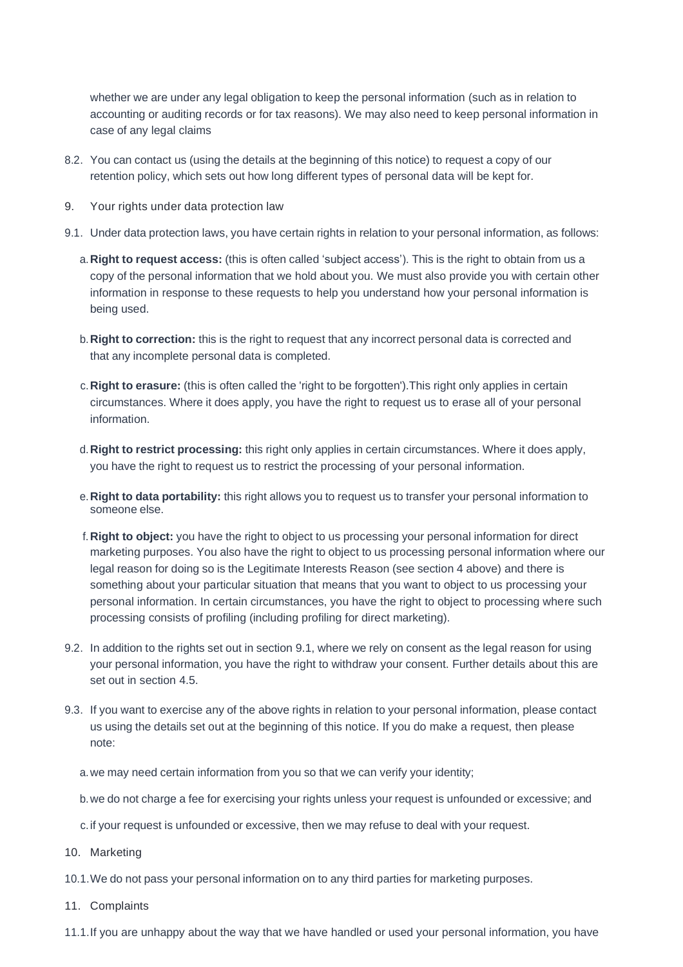whether we are under any legal obligation to keep the personal information (such as in relation to accounting or auditing records or for tax reasons). We may also need to keep personal information in case of any legal claims

- 8.2. You can contact us (using the details at the beginning of this notice) to request a copy of our retention policy, which sets out how long different types of personal data will be kept for.
- 9. Your rights under data protection law
- 9.1. Under data protection laws, you have certain rights in relation to your personal information, as follows:
	- a.**Right to request access:** (this is often called 'subject access'). This is the right to obtain from us a copy of the personal information that we hold about you. We must also provide you with certain other information in response to these requests to help you understand how your personal information is being used.
	- b.**Right to correction:** this is the right to request that any incorrect personal data is corrected and that any incomplete personal data is completed.
	- c.**Right to erasure:** (this is often called the 'right to be forgotten').This right only applies in certain circumstances. Where it does apply, you have the right to request us to erase all of your personal information.
	- d.**Right to restrict processing:** this right only applies in certain circumstances. Where it does apply, you have the right to request us to restrict the processing of your personal information.
	- e.**Right to data portability:** this right allows you to request us to transfer your personal information to someone else.
	- f.**Right to object:** you have the right to object to us processing your personal information for direct marketing purposes. You also have the right to object to us processing personal information where our legal reason for doing so is the Legitimate Interests Reason (see section 4 above) and there is something about your particular situation that means that you want to object to us processing your personal information. In certain circumstances, you have the right to object to processing where such processing consists of profiling (including profiling for direct marketing).
- 9.2. In addition to the rights set out in section 9.1, where we rely on consent as the legal reason for using your personal information, you have the right to withdraw your consent. Further details about this are set out in section 4.5.
- 9.3. If you want to exercise any of the above rights in relation to your personal information, please contact us using the details set out at the beginning of this notice. If you do make a request, then please note:
	- a.we may need certain information from you so that we can verify your identity;
	- b.we do not charge a fee for exercising your rights unless your request is unfounded or excessive; and
	- c.if your request is unfounded or excessive, then we may refuse to deal with your request.
- 10. Marketing
- 10.1.We do not pass your personal information on to any third parties for marketing purposes.
- 11. Complaints
- 11.1.If you are unhappy about the way that we have handled or used your personal information, you have